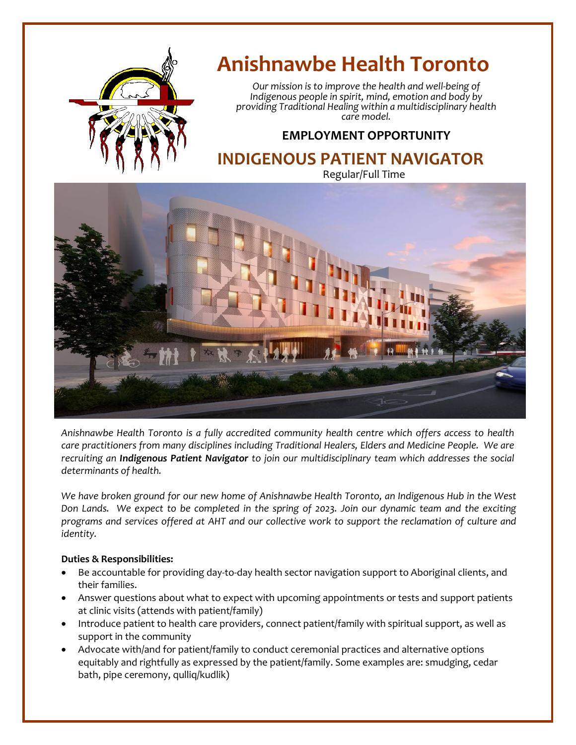

# **Anishnawbe Health Toronto**

*Our mission is to improve the health and well-being of Indigenous people in spirit, mind, emotion and body by providing Traditional Healing within a multidisciplinary health care model.*

### **EMPLOYMENT OPPORTUNITY**

## **INDIGENOUS PATIENT NAVIGATOR**

Regular/Full Time



*Anishnawbe Health Toronto is a fully accredited community health centre which offers access to health care practitioners from many disciplines including Traditional Healers, Elders and Medicine People. We are recruiting an Indigenous Patient Navigator to join our multidisciplinary team which addresses the social determinants of health.*

*We have broken ground for our new home of Anishnawbe Health Toronto, an Indigenous Hub in the West Don Lands. We expect to be completed in the spring of 2023. Join our dynamic team and the exciting programs and services offered at AHT and our collective work to support the reclamation of culture and identity.*

#### **Duties & Responsibilities:**

- Be accountable for providing day-to-day health sector navigation support to Aboriginal clients, and their families.
- Answer questions about what to expect with upcoming appointments or tests and support patients at clinic visits (attends with patient/family)
- Introduce patient to health care providers, connect patient/family with spiritual support, as well as support in the community
- Advocate with/and for patient/family to conduct ceremonial practices and alternative options equitably and rightfully as expressed by the patient/family. Some examples are: smudging, cedar bath, pipe ceremony, qulliq/kudlik)